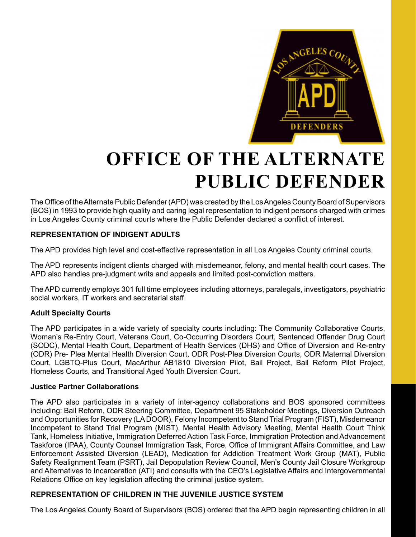

# **OFFICE OF THE ALTERNATE PUBLIC DEFENDER**

The Office of the Alternate Public Defender (APD) was created by the Los Angeles County Board of Supervisors (BOS) in 1993 to provide high quality and caring legal representation to indigent persons charged with crimes in Los Angeles County criminal courts where the Public Defender declared a conflict of interest.

## **REPRESENTATION OF INDIGENT ADULTS**

The APD provides high level and cost-effective representation in all Los Angeles County criminal courts.

The APD represents indigent clients charged with misdemeanor, felony, and mental health court cases. The APD also handles pre-judgment writs and appeals and limited post-conviction matters.

The APD currently employs 301 full time employees including attorneys, paralegals, investigators, psychiatric social workers, IT workers and secretarial staff.

## **Adult Specialty Courts**

The APD participates in a wide variety of specialty courts including: The Community Collaborative Courts, Woman's Re-Entry Court, Veterans Court, Co-Occurring Disorders Court, Sentenced Offender Drug Court (SODC), Mental Health Court, Department of Health Services (DHS) and Office of Diversion and Re-entry (ODR) Pre- Plea Mental Health Diversion Court, ODR Post-Plea Diversion Courts, ODR Maternal Diversion Court, LGBTQ-Plus Court, MacArthur AB1810 Diversion Pilot, Bail Project, Bail Reform Pilot Project, Homeless Courts, and Transitional Aged Youth Diversion Court.

#### **Justice Partner Collaborations**

The APD also participates in a variety of inter-agency collaborations and BOS sponsored committees including: Bail Reform, ODR Steering Committee, Department 95 Stakeholder Meetings, Diversion Outreach and Opportunities for Recovery (LA DOOR), Felony Incompetent to Stand Trial Program (FIST), Misdemeanor Incompetent to Stand Trial Program (MIST), Mental Health Advisory Meeting, Mental Health Court Think Tank, Homeless Initiative, Immigration Deferred Action Task Force, Immigration Protection and Advancement Taskforce (IPAA), County Counsel Immigration Task, Force, Office of Immigrant Affairs Committee, and Law Enforcement Assisted Diversion (LEAD), Medication for Addiction Treatment Work Group (MAT), Public Safety Realignment Team (PSRT), Jail Depopulation Review Council, Men's County Jail Closure Workgroup and Alternatives to Incarceration (ATI) and consults with the CEO's Legislative Affairs and Intergovernmental Relations Office on key legislation affecting the criminal justice system.

## **REPRESENTATION OF CHILDREN IN THE JUVENILE JUSTICE SYSTEM**

The Los Angeles County Board of Supervisors (BOS) ordered that the APD begin representing children in all